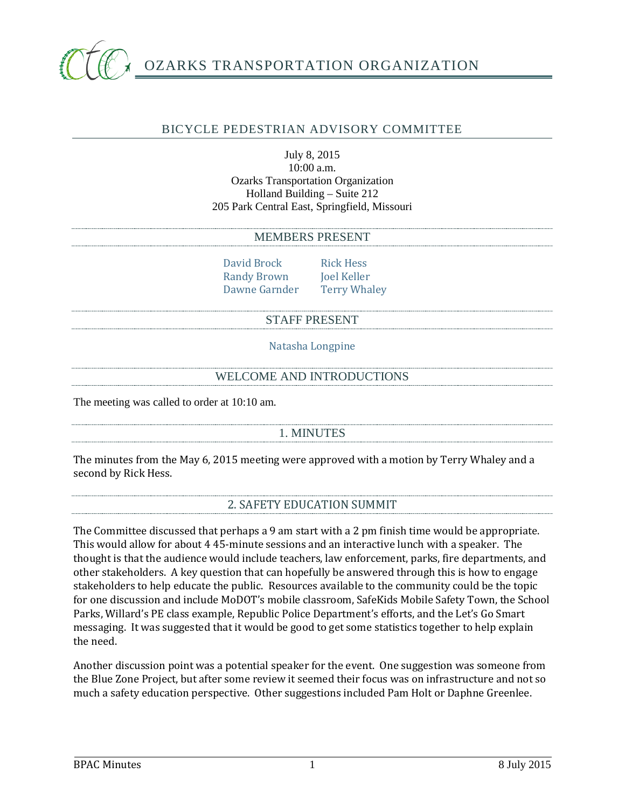

## BICYCLE PEDESTRIAN ADVISORY COMMITTEE

#### July 8, 2015 10:00 a.m. Ozarks Transportation Organization Holland Building – Suite 212 205 Park Central East, Springfield, Missouri

#### MEMBERS PRESENT

David Brock Rick Hess<br>
Randy Brown Ioel Keller Randy Brown Joel Keller<br>Dawne Garnder Terry Whaley Dawne Garnder

### STAFF PRESENT

Natasha Longpine

### WELCOME AND INTRODUCTIONS

The meeting was called to order at 10:10 am.

### 1. MINUTES

The minutes from the May 6, 2015 meeting were approved with a motion by Terry Whaley and a second by Rick Hess.

### 2. SAFETY EDUCATION SUMMIT

The Committee discussed that perhaps a 9 am start with a 2 pm finish time would be appropriate. This would allow for about 4 45-minute sessions and an interactive lunch with a speaker. The thought is that the audience would include teachers, law enforcement, parks, fire departments, and other stakeholders. A key question that can hopefully be answered through this is how to engage stakeholders to help educate the public. Resources available to the community could be the topic for one discussion and include MoDOT's mobile classroom, SafeKids Mobile Safety Town, the School Parks, Willard's PE class example, Republic Police Department's efforts, and the Let's Go Smart messaging. It was suggested that it would be good to get some statistics together to help explain the need.

Another discussion point was a potential speaker for the event. One suggestion was someone from the Blue Zone Project, but after some review it seemed their focus was on infrastructure and not so much a safety education perspective. Other suggestions included Pam Holt or Daphne Greenlee.